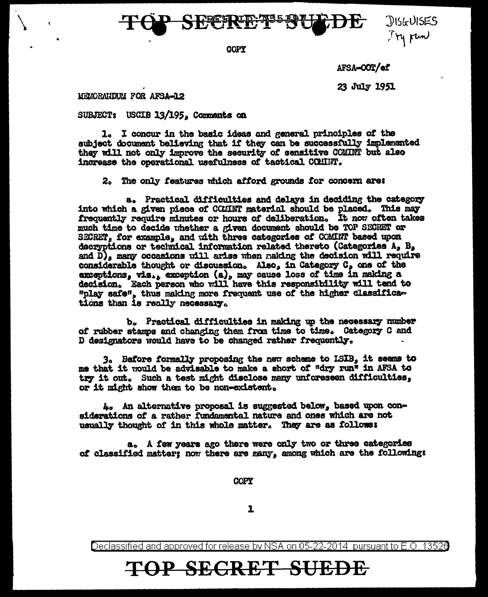

COPY

AFSA-OOT/ef

**JISGUISES** Try run

23 July 1951

MEMORANDUM FOR AFSA-12

SUBJECT: USCIB 13/195, Comments on

1. I concur in the basic ideas and general principles of the subject document believing that if they can be successfully implemented they will not only improve the security of sensitive COMINT but also increase the operational usefulness of tactical COMINT.

2. The only features which afford grounds for concern are:

a. Practical difficulties and delays in deciding the category into which a given piece of COMINT material should be placed. This may frequently require minutes or hours of deliberation. It now often takes much time to decide whether a given document should be TOP SECRET or SECRET, for example, and with three categories of COMINT based upon decryptions or technical information related thereto (Categories A, B, and  $D_A$  many occasions will arise when making the decision will require considerable thought or discussion. Also, in Category C, one of the exceptions, viz., exception (a), may cause loss of time in making a decision. Each person who will have this responsibility will tend to "play safe", thus making more frequent use of the higher classifications than is really necessary.

b. Practical difficulties in making up the necessary number of rubber stamps and changing them from time to time. Category C and D designators would have to be changed rather frequently.

3. Before formally proposing the new scheme to ISIB, it seems to me that it would be advisable to make a short of "dry run" in AFSA to try it out. Such a test might disclose many unforeseen difficulties, or it might show them to be non-existent.

4. An alternative proposal is suggested below, based upon considerations of a rather fundamental nature and ones which are not usually thought of in this whole matter. They are as follows:

a. A few years ago there were only two or three categories of classified matter; now there are many, among which are the followings

COPY

 $\mathbf{r}$ 

Declassified and approved for release by NSA on 05-22-2014 pursuant to E.O. 13526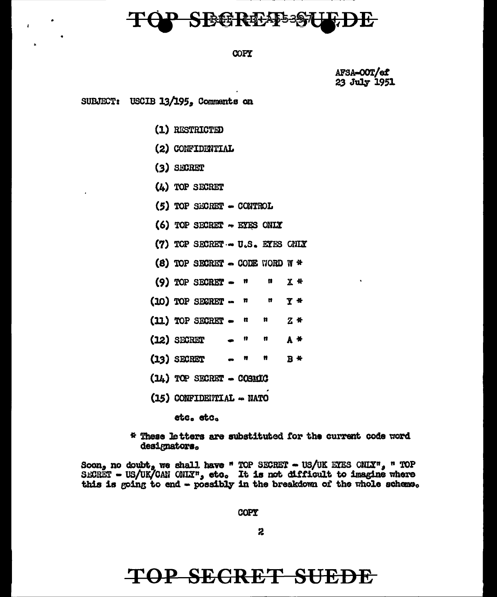## STGGS REFASS-997

#### COPY

AFSA-OOT/ef 23 July 1951

**SUBJECT:** USCIB  $13/195$ , Comments on

(1) RESTRICTED

- (2) CONFIDENTIAL
- $(3)$  SECRET
- (4) TOP SECRET
- $(5)$  TOP SECRET  $-$  CONTROL
- (6) TOP SECRET  $\sim$  EYES ONLY
- (7) TOP SECRET U.S. EYES CHIX
- (8) TOP SECRET  $\sim$  CODE WORD W \*
- $(9)$  TOP SECRET  $$ n  $X$  \* n
- $(10)$  TOP SECRET  $\mathbf{r}$ Ħ Y \*
- $(11)$  TOP SECRET  $-$ Ħ n, **Z** \*
- $(12)$  SECRET n  $A$  \*
- $(13)$  SECRET  $\mathbf{r}$ n  $B$  \*
- $(14)$  TOP SECRET COSMIC
- (15) CONFIDENTIAL NATO

etc. etc.

\* These letters are substituted for the current code word designators.

Soon, no doubt, we shall have " TOP SECRET - US/UK ETES CNLY", " TOP SECRET - US/UK/CAN ONLY", etc. It is not difficult to imagine where this is going to end - possibly in the breakdown of the whole scheme.

COPY

2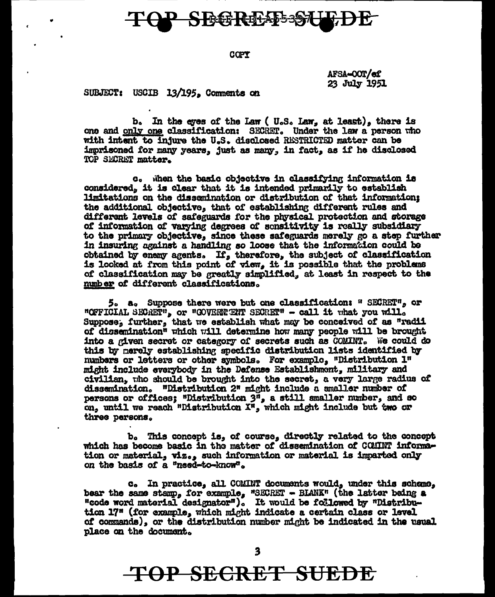## SBGREAD-97L

COPY

AFSA-COT/ef 23 July 1951

SUBJECT: USCIB 13/195. Comments on

b. In the eyes of the Law (U.S. Law, at least), there is one and only one classification: SECRET. Under the law a person who with intent to injure the U.S. disclosed RESTRICTED matter can be imprisoned for many years. just as many. in fact, as if he disclosed TOP SECRET matter.

c. When the basic objective in classifying information is considered, it is clear that it is intended primarily to establish limitations on the dissemination or distribution of that information: the additional objective, that of establishing different rules and different levels of safeguards for the physical protection and storage of information of varying degrees of sensitivity is really subsidiary to the primary objective, since these safeguards merely go a step further in insuring against a handling so loose that the information could be obtained by enemy agents. If, therefore, the subject of classification is looked at from this point of view, it is possible that the problems of classification may be greatly simplified, at least in respect to the number of different classifications.

5. a. Suppose there were but one classification: " SECRET", or "OFFICIAL SECRET", or "GOVERNERT SECRET" - call it what you will. Suppose, further, that we establish what may be conceived of as "radii of dissemination" which will determine how many people will be brought into a given secret or category of secrets such as COMINT. We could do this by merely establishing specific distribution lists identified by numbers or letters or other symbols. For example, "Distribution 1" might include everybody in the Defense Establishmont, military and civilian, tho should be brought into the secret, a very large radius of dissemination. "Distribution 2" might include a smaller number of persons or offices; "Distribution  $3^n$ , a still smaller number, and so on, until we reach "Distribution X", which might include but two or three persons.

b. This concept is, of course, directly related to the concept which has become basic in the matter of dissemination of COMINT information or material, viz., such information or material is imparted only on the basis of a "need-to-know".

c. In practice, all COMINT documents would, under this scheme, bear the same stamp, for example, "SECRET - BLANK" (the latter being a "code word material designator"). It would be followed by "Distribution 17" (for example, which might indicate a certain class or level of commands), or the distribution number might be indicated in the usual place on the document.